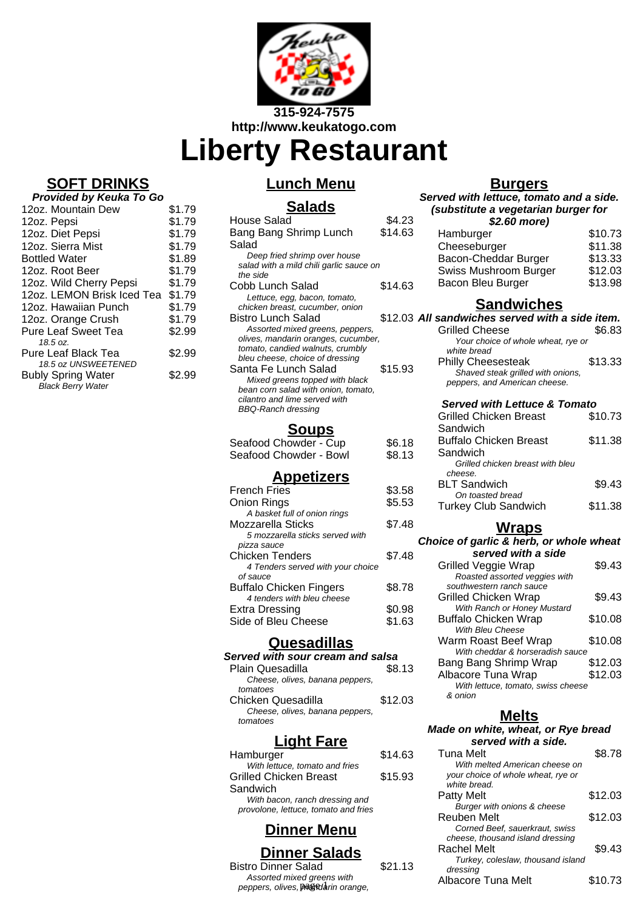

**Liberty Restaurant**

# **SOFT DRINKS**

| Provided by Keuka To Go                          |        |  |
|--------------------------------------------------|--------|--|
| 12oz. Mountain Dew                               | \$1.79 |  |
| 12oz. Pepsi                                      | \$1.79 |  |
| 12oz. Diet Pepsi                                 | \$1.79 |  |
| 12oz. Sierra Mist                                | \$1.79 |  |
| <b>Bottled Water</b>                             | \$1.89 |  |
| 12oz. Root Beer                                  | \$1.79 |  |
| 12oz. Wild Cherry Pepsi                          | \$1.79 |  |
| 12oz. LEMON Brisk Iced Tea                       | \$1.79 |  |
| 12oz. Hawaiian Punch                             | \$1.79 |  |
| 12oz. Orange Crush                               | \$1.79 |  |
| <b>Pure Leaf Sweet Tea</b>                       | \$2.99 |  |
| 18.5 oz.                                         |        |  |
| Pure Leaf Black Tea                              | \$2.99 |  |
| 18.5 oz UNSWEETENED<br><b>Bubly Spring Water</b> | \$2.99 |  |
| <b>Black Berry Water</b>                         |        |  |
|                                                  |        |  |

# **Lunch Menu**

# **Salads**

| House Salad<br>Bang Bang Shrimp Lunch                                 | \$4.23<br>\$14.63 |
|-----------------------------------------------------------------------|-------------------|
| Salad                                                                 |                   |
| Deep fried shrimp over house                                          |                   |
| salad with a mild chili garlic sauce on                               |                   |
| the side                                                              |                   |
| Cobb Lunch Salad                                                      | \$14.63           |
| Lettuce, egg, bacon, tomato,                                          |                   |
| chicken breast, cucumber, onion                                       |                   |
| Bistro Lunch Salad                                                    | \$12.03           |
| Assorted mixed greens, peppers,                                       |                   |
| olives, mandarin oranges, cucumber,                                   |                   |
| tomato, candied walnuts, crumbly                                      |                   |
| bleu cheese, choice of dressing<br>Santa Fe Lunch Salad               |                   |
|                                                                       | \$15.93           |
| Mixed greens topped with black<br>bean corn salad with onion, tomato, |                   |
| cilantro and lime served with                                         |                   |
| <b>BBQ-Ranch dressing</b>                                             |                   |
|                                                                       |                   |
| <u>Soups</u>                                                          |                   |
| Seafood Chowder - Cup                                                 | \$6.18            |
| Seafood Chowder - Bowl                                                | \$8.13            |
| <u>Appetizers</u>                                                     |                   |
| <b>French Fries</b>                                                   | \$3.58            |
| <b>Onion Rings</b>                                                    | \$5.53            |
| A basket full of onion rings                                          |                   |
| Mozzarella Sticks                                                     | \$7.48            |
| 5 mozzarella sticks served with                                       |                   |
| pizza sauce                                                           |                   |
| <b>Chicken Tenders</b>                                                | \$7.48            |
| 4 Tenders served with your choice                                     |                   |
| of sauce                                                              |                   |
| Buffalo Chicken Fingers                                               | \$8.78            |
| A tondore with blou choose                                            |                   |

4 tenders with bleu cheese Extra Dressing \$0.98<br>Side of Bleu Cheese \$1.63 Side of Bleu Cheese

#### **Quesadillas**

| Served with sour cream and salsa |         |
|----------------------------------|---------|
| Plain Quesadilla                 | \$8.13  |
| Cheese, olives, banana peppers,  |         |
| tomatoes                         |         |
| Chicken Quesadilla               | \$12.03 |
| Cheese, olives, banana peppers,  |         |
| tomatoes                         |         |
|                                  |         |

# **Light Fare**

| Hamburger                                                              | \$14.63 |
|------------------------------------------------------------------------|---------|
| With lettuce, tomato and fries<br><b>Grilled Chicken Breast</b>        | \$15.93 |
| Sandwich                                                               |         |
| With bacon, ranch dressing and<br>provolone, lettuce, tomato and fries |         |
|                                                                        |         |

# **Dinner Menu**

#### **Dinner Salads**

Bistro Dinner Salad \$21.13 Assorted mixed greens with Assorted mixed greens with the same of Albacore Tuna Melt \$10.73<br>peppers, olives, pagedarin orange,

## **Burgers**

| <u>Burgers</u>                                                     |         |
|--------------------------------------------------------------------|---------|
| Served with lettuce, tomato and a side.                            |         |
| (substitute a vegetarian burger for<br>\$2.60 more)                |         |
| Hamburger                                                          | \$10.73 |
| Cheeseburger                                                       | \$11.38 |
| Bacon-Cheddar Burger                                               | \$13.33 |
| Swiss Mushroom Burger                                              | \$12.03 |
| Bacon Bleu Burger                                                  | \$13.98 |
| <b>Sandwiches</b>                                                  |         |
| All sandwiches served with a side item.                            |         |
| Grilled Cheese<br>Your choice of whole wheat, rye or               | \$6.83  |
| white bread                                                        |         |
| <b>Philly Cheesesteak</b>                                          | \$13.33 |
| Shaved steak grilled with onions,<br>peppers, and American cheese. |         |
|                                                                    |         |
| <b>Served with Lettuce &amp; Tomato</b>                            |         |
| <b>Grilled Chicken Breast</b>                                      | \$10.73 |
| Sandwich                                                           |         |
| <b>Buffalo Chicken Breast</b><br>Sandwich                          | \$11.38 |
| Grilled chicken breast with bleu                                   |         |
| cheese.                                                            |         |
| <b>BLT Sandwich</b>                                                | \$9.43  |
| On toasted bread                                                   | \$11.38 |
| <b>Turkey Club Sandwich</b>                                        |         |
| <u>Wraps</u>                                                       |         |
| Choice of garlic & herb, or whole wheat                            |         |
| served with a side                                                 |         |
| <b>Grilled Veggie Wrap</b><br>Roasted assorted veggies with        | \$9.43  |
| southwestern ranch sauce                                           |         |
| <b>Grilled Chicken Wrap</b>                                        | \$9.43  |
| With Ranch or Honey Mustard                                        |         |
| <b>Buffalo Chicken Wrap</b><br>With Bleu Cheese                    | \$10.08 |
| Warm Roast Beef Wrap                                               | \$10.08 |
| With cheddar & horseradish sauce                                   |         |
| Bang Bang Shrimp Wrap                                              | \$12.03 |
| Albacore Tuna Wrap                                                 | \$12.03 |
| With lettuce, tomato, swiss cheese<br>& onion                      |         |
|                                                                    |         |

#### **Melts**

#### **Made on white, wheat, or Rye bread served with a side.**

| <b>Tuna Melt</b>                   | \$8.78  |
|------------------------------------|---------|
| With melted American cheese on     |         |
| your choice of whole wheat, rye or |         |
| white bread.                       |         |
| Patty Melt                         | \$12.03 |
| Burger with onions & cheese        |         |
| Reuben Melt                        | \$12.03 |
| Corned Beef, sauerkraut, swiss     |         |
| cheese, thousand island dressing   |         |
| Rachel Melt                        | \$9.43  |
| Turkey, coleslaw, thousand island  |         |
| dressing                           |         |
| Albacore Tuna Melt                 | \$10.73 |
|                                    |         |